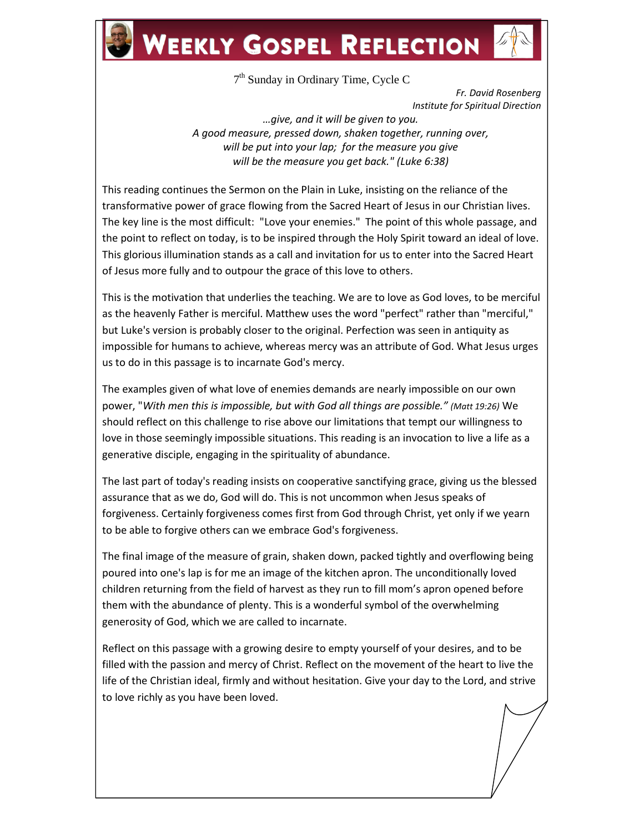## **WEEKLY GOSPEL REFLECTION**

7<sup>th</sup> Sunday in Ordinary Time, Cycle C

*Fr. David Rosenberg Institute for Spiritual Direction*

*…give, and it will be given to you. A good measure, pressed down, shaken together, running over, will be put into your lap; for the measure you give will be the measure you get back." (Luke 6:38)*

This reading continues the Sermon on the Plain in Luke, insisting on the reliance of the transformative power of grace flowing from the Sacred Heart of Jesus in our Christian lives. The key line is the most difficult: "Love your enemies." The point of this whole passage, and the point to reflect on today, is to be inspired through the Holy Spirit toward an ideal of love. This glorious illumination stands as a call and invitation for us to enter into the Sacred Heart of Jesus more fully and to outpour the grace of this love to others.

This is the motivation that underlies the teaching. We are to love as God loves, to be merciful as the heavenly Father is merciful. Matthew uses the word "perfect" rather than "merciful," but Luke's version is probably closer to the original. Perfection was seen in antiquity as impossible for humans to achieve, whereas mercy was an attribute of God. What Jesus urges us to do in this passage is to incarnate God's mercy.

The examples given of what love of enemies demands are nearly impossible on our own power, "*With men this is impossible, but with God all things are possible." (Matt 19:26)* We should reflect on this challenge to rise above our limitations that tempt our willingness to love in those seemingly impossible situations. This reading is an invocation to live a life as a generative disciple, engaging in the spirituality of abundance.

The last part of today's reading insists on cooperative sanctifying grace, giving us the blessed assurance that as we do, God will do. This is not uncommon when Jesus speaks of forgiveness. Certainly forgiveness comes first from God through Christ, yet only if we yearn to be able to forgive others can we embrace God's forgiveness.

The final image of the measure of grain, shaken down, packed tightly and overflowing being poured into one's lap is for me an image of the kitchen apron. The unconditionally loved children returning from the field of harvest as they run to fill mom's apron opened before them with the abundance of plenty. This is a wonderful symbol of the overwhelming generosity of God, which we are called to incarnate.

Reflect on this passage with a growing desire to empty yourself of your desires, and to be filled with the passion and mercy of Christ. Reflect on the movement of the heart to live the life of the Christian ideal, firmly and without hesitation. Give your day to the Lord, and strive to love richly as you have been loved.